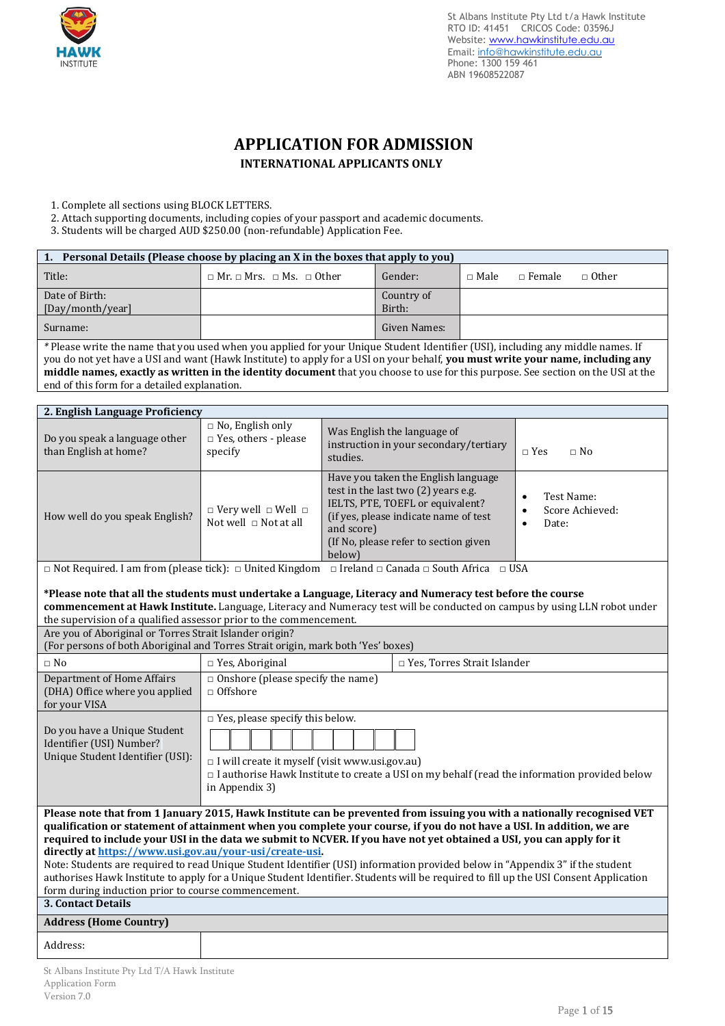

# **APPLICATION FOR ADMISSION INTERNATIONAL APPLICANTS ONLY**

1. Complete all sections using BLOCK LETTERS.

- 2. Attach supporting documents, including copies of your passport and academic documents.
- 3. Students will be charged AUD \$250.00 (non-refundable) Application Fee.

| 1. Personal Details (Please choose by placing an X in the boxes that apply to you) |                                                                                                                |              |               |                 |              |
|------------------------------------------------------------------------------------|----------------------------------------------------------------------------------------------------------------|--------------|---------------|-----------------|--------------|
| Title:                                                                             | $\Box$ Mr. $\Box$ Mrs. $\Box$ Ms. $\Box$ Other                                                                 | Gender:      | $\sqcap$ Male | $\sqcap$ Female | $\Box$ Other |
| Date of Birth:                                                                     |                                                                                                                | Country of   |               |                 |              |
| [Day/month/year]                                                                   |                                                                                                                | Birth:       |               |                 |              |
| Surname:                                                                           |                                                                                                                | Given Names: |               |                 |              |
|                                                                                    | A DISSOCIATE IN A CONTRACTOR OF A STRAIGHT AND THE RESIDENCE OF A STRAIGHT AND RESIDENT AND THE RESIDENCE OF A |              |               |                 |              |

*\** Please write the name that you used when you applied for your Unique Student Identifier (USI), including any middle names. If you do not yet have a USI and want (Hawk Institute) to apply for a USI on your behalf, **you must write your name, including any middle names, exactly as written in the identity document** that you choose to use for this purpose. See section on the USI at the end of this form for a detailed explanation.

| 2. English Language Proficiency                                   |                                                                   |                                                                                                                                                                                                                          |                                                       |
|-------------------------------------------------------------------|-------------------------------------------------------------------|--------------------------------------------------------------------------------------------------------------------------------------------------------------------------------------------------------------------------|-------------------------------------------------------|
| Do you speak a language other<br>than English at home?            | $\Box$ No, English only<br>$\Box$ Yes, others - please<br>specify | Was English the language of<br>instruction in your secondary/tertiary<br>studies.                                                                                                                                        | $\Box$ No<br>$\Box$ Yes                               |
| How well do you speak English?                                    | $\Box$ Very well $\Box$ Well $\Box$<br>Not well $\Box$ Not at all | Have you taken the English language<br>test in the last two (2) years e.g.<br>IELTS, PTE, TOEFL or equivalent?<br>(if yes, please indicate name of test<br>and score)<br>(If No, please refer to section given<br>below) | Test Name:<br>٠<br>Score Achieved:<br>٠<br>Date:<br>٠ |
| $\sim$<br>$\sim$ 1<br>$\mathbf{r}$<br>$\mathbf{r}$ . $\mathbf{r}$ | $\cdots$<br><b>TT </b><br>1.771                                   | $\alpha$ , $\alpha$ ,<br>$\mathbf{a}$<br>$\mathbf{r}$ $\mathbf{r}$                                                                                                                                                       | TTO A                                                 |

□ Not Required. I am from (please tick): □ United Kingdom □ Ireland □ Canada □ South Africa □ USA

# **\*Please note that all the students must undertake a Language, Literacy and Numeracy test before the course**

| commencement at Hawk Institute. Language, Literacy and Numeracy test will be conducted on campus by using LLN robot under |
|---------------------------------------------------------------------------------------------------------------------------|
| the supervision of a qualified assessor prior to the commencement.                                                        |

| c caper , noron or a quannou accessor prior to the commence.                                                   |                                                                                                            |                                                                                                                                                                                                                                                                                                                                                                                                                                                                                                                                                                                                                                                    |  |  |
|----------------------------------------------------------------------------------------------------------------|------------------------------------------------------------------------------------------------------------|----------------------------------------------------------------------------------------------------------------------------------------------------------------------------------------------------------------------------------------------------------------------------------------------------------------------------------------------------------------------------------------------------------------------------------------------------------------------------------------------------------------------------------------------------------------------------------------------------------------------------------------------------|--|--|
| Are you of Aboriginal or Torres Strait Islander origin?                                                        |                                                                                                            |                                                                                                                                                                                                                                                                                                                                                                                                                                                                                                                                                                                                                                                    |  |  |
|                                                                                                                | (For persons of both Aboriginal and Torres Strait origin, mark both 'Yes' boxes)                           |                                                                                                                                                                                                                                                                                                                                                                                                                                                                                                                                                                                                                                                    |  |  |
| $\Box$ No                                                                                                      | $\Box$ Yes, Aboriginal                                                                                     | $\Box$ Yes, Torres Strait Islander                                                                                                                                                                                                                                                                                                                                                                                                                                                                                                                                                                                                                 |  |  |
| Department of Home Affairs<br>(DHA) Office where you applied<br>for your VISA                                  | $\Box$ Onshore (please specify the name)<br>$\Box$ Offshore                                                |                                                                                                                                                                                                                                                                                                                                                                                                                                                                                                                                                                                                                                                    |  |  |
| Do you have a Unique Student<br>Identifier (USI) Number?<br>Unique Student Identifier (USI):                   | $\Box$ Yes, please specify this below.<br>I will create it myself (visit www.usi.gov.au)<br>in Appendix 3) | $\Box$ I authorise Hawk Institute to create a USI on my behalf (read the information provided below                                                                                                                                                                                                                                                                                                                                                                                                                                                                                                                                                |  |  |
| directly at https://www.usi.gov.au/your-usi/create-usi.<br>form during induction prior to course commencement. |                                                                                                            | Please note that from 1 January 2015, Hawk Institute can be prevented from issuing you with a nationally recognised VET<br>qualification or statement of attainment when you complete your course, if you do not have a USI. In addition, we are<br>required to include your USI in the data we submit to NCVER. If you have not yet obtained a USI, you can apply for it<br>Note: Students are required to read Unique Student Identifier (USI) information provided below in "Appendix 3" if the student<br>authorises Hawk Institute to apply for a Unique Student Identifier. Students will be required to fill up the USI Consent Application |  |  |
| <b>3. Contact Details</b>                                                                                      |                                                                                                            |                                                                                                                                                                                                                                                                                                                                                                                                                                                                                                                                                                                                                                                    |  |  |
| <b>Address (Home Country)</b>                                                                                  |                                                                                                            |                                                                                                                                                                                                                                                                                                                                                                                                                                                                                                                                                                                                                                                    |  |  |
| Address:                                                                                                       |                                                                                                            |                                                                                                                                                                                                                                                                                                                                                                                                                                                                                                                                                                                                                                                    |  |  |
|                                                                                                                |                                                                                                            |                                                                                                                                                                                                                                                                                                                                                                                                                                                                                                                                                                                                                                                    |  |  |

St Albans Institute Pty Ltd T/A Hawk Institute Application Form Version 7.0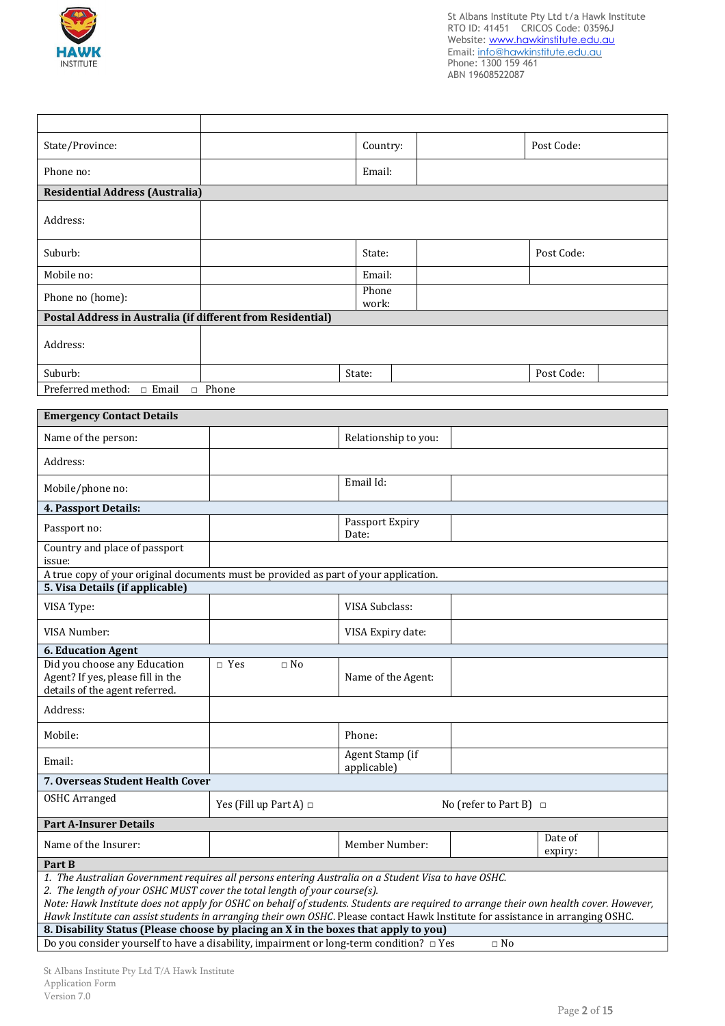

┱

 $\overline{1}$ 

٦

| State/Province:                                                                                                                                                                                                                                                                                                                                                                                                                                               |                                                                                                                     | Country:                       |                             | Post Code:         |  |
|---------------------------------------------------------------------------------------------------------------------------------------------------------------------------------------------------------------------------------------------------------------------------------------------------------------------------------------------------------------------------------------------------------------------------------------------------------------|---------------------------------------------------------------------------------------------------------------------|--------------------------------|-----------------------------|--------------------|--|
| Phone no:                                                                                                                                                                                                                                                                                                                                                                                                                                                     |                                                                                                                     | Email:                         |                             |                    |  |
| <b>Residential Address (Australia)</b>                                                                                                                                                                                                                                                                                                                                                                                                                        |                                                                                                                     |                                |                             |                    |  |
| Address:                                                                                                                                                                                                                                                                                                                                                                                                                                                      |                                                                                                                     |                                |                             |                    |  |
| Suburb:                                                                                                                                                                                                                                                                                                                                                                                                                                                       |                                                                                                                     | State:                         |                             | Post Code:         |  |
| Mobile no:                                                                                                                                                                                                                                                                                                                                                                                                                                                    |                                                                                                                     | Email:                         |                             |                    |  |
| Phone no (home):                                                                                                                                                                                                                                                                                                                                                                                                                                              |                                                                                                                     | Phone<br>work:                 |                             |                    |  |
| Postal Address in Australia (if different from Residential)                                                                                                                                                                                                                                                                                                                                                                                                   |                                                                                                                     |                                |                             |                    |  |
| Address:                                                                                                                                                                                                                                                                                                                                                                                                                                                      |                                                                                                                     |                                |                             |                    |  |
| Suburb:                                                                                                                                                                                                                                                                                                                                                                                                                                                       |                                                                                                                     | State:                         |                             | Post Code:         |  |
| Preferred method: $\Box$ Email                                                                                                                                                                                                                                                                                                                                                                                                                                | $\Box$ Phone                                                                                                        |                                |                             |                    |  |
|                                                                                                                                                                                                                                                                                                                                                                                                                                                               |                                                                                                                     |                                |                             |                    |  |
| <b>Emergency Contact Details</b>                                                                                                                                                                                                                                                                                                                                                                                                                              |                                                                                                                     |                                |                             |                    |  |
| Name of the person:                                                                                                                                                                                                                                                                                                                                                                                                                                           |                                                                                                                     | Relationship to you:           |                             |                    |  |
| Address:                                                                                                                                                                                                                                                                                                                                                                                                                                                      |                                                                                                                     |                                |                             |                    |  |
| Mobile/phone no:                                                                                                                                                                                                                                                                                                                                                                                                                                              |                                                                                                                     | Email Id:                      |                             |                    |  |
| 4. Passport Details:                                                                                                                                                                                                                                                                                                                                                                                                                                          |                                                                                                                     |                                |                             |                    |  |
| Passport no:                                                                                                                                                                                                                                                                                                                                                                                                                                                  |                                                                                                                     | Passport Expiry<br>Date:       |                             |                    |  |
| Country and place of passport<br>issue:                                                                                                                                                                                                                                                                                                                                                                                                                       |                                                                                                                     |                                |                             |                    |  |
| A true copy of your original documents must be provided as part of your application.                                                                                                                                                                                                                                                                                                                                                                          |                                                                                                                     |                                |                             |                    |  |
| 5. Visa Details (if applicable)                                                                                                                                                                                                                                                                                                                                                                                                                               |                                                                                                                     |                                |                             |                    |  |
| VISA Type:                                                                                                                                                                                                                                                                                                                                                                                                                                                    |                                                                                                                     | VISA Subclass:                 |                             |                    |  |
| VISA Number:                                                                                                                                                                                                                                                                                                                                                                                                                                                  |                                                                                                                     | VISA Expiry date:              |                             |                    |  |
| <b>6. Education Agent</b>                                                                                                                                                                                                                                                                                                                                                                                                                                     |                                                                                                                     |                                |                             |                    |  |
| Did you choose any Education<br>Agent? If yes, please fill in the<br>details of the agent referred.                                                                                                                                                                                                                                                                                                                                                           | $\Box$ Yes<br>$\Box$ No                                                                                             | Name of the Agent:             |                             |                    |  |
| Address:                                                                                                                                                                                                                                                                                                                                                                                                                                                      |                                                                                                                     |                                |                             |                    |  |
| Mobile:                                                                                                                                                                                                                                                                                                                                                                                                                                                       |                                                                                                                     | Phone:                         |                             |                    |  |
| Email:                                                                                                                                                                                                                                                                                                                                                                                                                                                        |                                                                                                                     | Agent Stamp (if<br>applicable) |                             |                    |  |
| 7. Overseas Student Health Cover                                                                                                                                                                                                                                                                                                                                                                                                                              |                                                                                                                     |                                |                             |                    |  |
| <b>OSHC Arranged</b>                                                                                                                                                                                                                                                                                                                                                                                                                                          | Yes (Fill up Part A) $\Box$                                                                                         |                                | No (refer to Part B) $\Box$ |                    |  |
| <b>Part A-Insurer Details</b>                                                                                                                                                                                                                                                                                                                                                                                                                                 |                                                                                                                     |                                |                             |                    |  |
| Name of the Insurer:                                                                                                                                                                                                                                                                                                                                                                                                                                          |                                                                                                                     | Member Number:                 |                             | Date of<br>expiry: |  |
| Part B                                                                                                                                                                                                                                                                                                                                                                                                                                                        |                                                                                                                     |                                |                             |                    |  |
| 1. The Australian Government requires all persons entering Australia on a Student Visa to have OSHC.<br>2. The length of your OSHC MUST cover the total length of your course(s).<br>Note: Hawk Institute does not apply for OSHC on behalf of students. Students are required to arrange their own health cover. However,<br>Hawk Institute can assist students in arranging their own OSHC. Please contact Hawk Institute for assistance in arranging OSHC. |                                                                                                                     |                                |                             |                    |  |
| 8. Disability Status (Please choose by placing an X in the boxes that apply to you)                                                                                                                                                                                                                                                                                                                                                                           |                                                                                                                     |                                |                             |                    |  |
|                                                                                                                                                                                                                                                                                                                                                                                                                                                               | Do you consider yourself to have a disability, impairment or long-term condition? $\Box$ Yes<br>$\hfill \Box$<br>No |                                |                             |                    |  |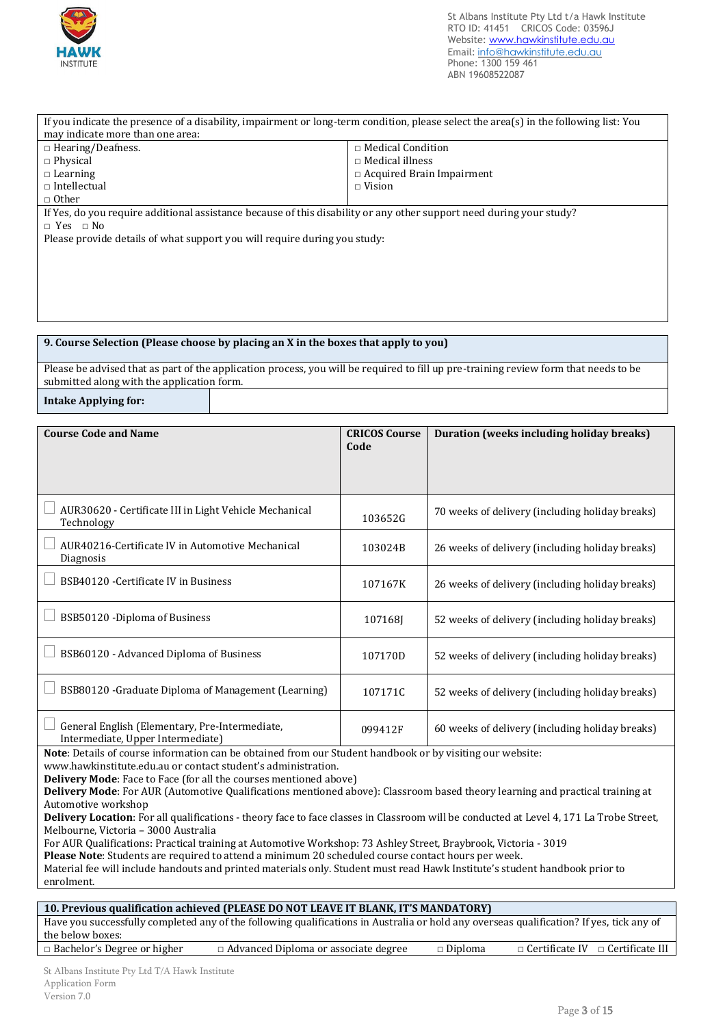

may indicate more than one area:

| $\Box$ Hearing/Deafness.                                                                                                                                       | □ Medical Condition                          |                                                                   |  |  |
|----------------------------------------------------------------------------------------------------------------------------------------------------------------|----------------------------------------------|-------------------------------------------------------------------|--|--|
| $\Box$ Physical                                                                                                                                                | $\Box$ Medical illness                       |                                                                   |  |  |
| $\Box$ Learning<br>$\Box$ Intellectual                                                                                                                         | □ Acquired Brain Impairment<br>$\Box$ Vision |                                                                   |  |  |
| $\Box$ Other                                                                                                                                                   |                                              |                                                                   |  |  |
| If Yes, do you require additional assistance because of this disability or any other support need during your study?                                           |                                              |                                                                   |  |  |
| $\Box$ Yes $\Box$ No                                                                                                                                           |                                              |                                                                   |  |  |
| Please provide details of what support you will require during you study:                                                                                      |                                              |                                                                   |  |  |
|                                                                                                                                                                |                                              |                                                                   |  |  |
|                                                                                                                                                                |                                              |                                                                   |  |  |
|                                                                                                                                                                |                                              |                                                                   |  |  |
|                                                                                                                                                                |                                              |                                                                   |  |  |
|                                                                                                                                                                |                                              |                                                                   |  |  |
|                                                                                                                                                                |                                              |                                                                   |  |  |
| 9. Course Selection (Please choose by placing an X in the boxes that apply to you)                                                                             |                                              |                                                                   |  |  |
| Please be advised that as part of the application process, you will be required to fill up pre-training review form that needs to be                           |                                              |                                                                   |  |  |
| submitted along with the application form.                                                                                                                     |                                              |                                                                   |  |  |
| <b>Intake Applying for:</b>                                                                                                                                    |                                              |                                                                   |  |  |
|                                                                                                                                                                |                                              |                                                                   |  |  |
| <b>Course Code and Name</b>                                                                                                                                    |                                              |                                                                   |  |  |
|                                                                                                                                                                | <b>CRICOS Course</b><br>Code                 | <b>Duration (weeks including holiday breaks)</b>                  |  |  |
|                                                                                                                                                                |                                              |                                                                   |  |  |
|                                                                                                                                                                |                                              |                                                                   |  |  |
|                                                                                                                                                                |                                              |                                                                   |  |  |
| AUR30620 - Certificate III in Light Vehicle Mechanical                                                                                                         |                                              |                                                                   |  |  |
| Technology                                                                                                                                                     | 103652G                                      | 70 weeks of delivery (including holiday breaks)                   |  |  |
|                                                                                                                                                                |                                              |                                                                   |  |  |
| AUR40216-Certificate IV in Automotive Mechanical                                                                                                               | 103024B                                      | 26 weeks of delivery (including holiday breaks)                   |  |  |
| Diagnosis                                                                                                                                                      |                                              |                                                                   |  |  |
| BSB40120 - Certificate IV in Business                                                                                                                          | 107167K                                      | 26 weeks of delivery (including holiday breaks)                   |  |  |
|                                                                                                                                                                |                                              |                                                                   |  |  |
| BSB50120 - Diploma of Business                                                                                                                                 |                                              |                                                                   |  |  |
|                                                                                                                                                                | 107168J                                      | 52 weeks of delivery (including holiday breaks)                   |  |  |
|                                                                                                                                                                |                                              |                                                                   |  |  |
| BSB60120 - Advanced Diploma of Business                                                                                                                        | 107170D                                      | 52 weeks of delivery (including holiday breaks)                   |  |  |
|                                                                                                                                                                |                                              |                                                                   |  |  |
| $\Box$ BSB80120 - Graduate Diploma of Management (Learning)                                                                                                    | 107171C                                      | 52 weeks of delivery (including holiday breaks)                   |  |  |
|                                                                                                                                                                |                                              |                                                                   |  |  |
| General English (Elementary, Pre-Intermediate,                                                                                                                 |                                              |                                                                   |  |  |
| Intermediate, Upper Intermediate)                                                                                                                              | 099412F                                      | 60 weeks of delivery (including holiday breaks)                   |  |  |
| Note: Details of course information can be obtained from our Student handbook or by visiting our website:                                                      |                                              |                                                                   |  |  |
| www.hawkinstitute.edu.au or contact student's administration.                                                                                                  |                                              |                                                                   |  |  |
| Delivery Mode: Face to Face (for all the courses mentioned above)                                                                                              |                                              |                                                                   |  |  |
| Delivery Mode: For AUR (Automotive Qualifications mentioned above): Classroom based theory learning and practical training at                                  |                                              |                                                                   |  |  |
| Automotive workshop<br>Delivery Location: For all qualifications - theory face to face classes in Classroom will be conducted at Level 4, 171 La Trobe Street, |                                              |                                                                   |  |  |
| Melbourne, Victoria - 3000 Australia                                                                                                                           |                                              |                                                                   |  |  |
| For AUR Qualifications: Practical training at Automotive Workshop: 73 Ashley Street, Braybrook, Victoria - 3019                                                |                                              |                                                                   |  |  |
| Please Note: Students are required to attend a minimum 20 scheduled course contact hours per week.                                                             |                                              |                                                                   |  |  |
| Material fee will include handouts and printed materials only. Student must read Hawk Institute's student handbook prior to                                    |                                              |                                                                   |  |  |
| enrolment.                                                                                                                                                     |                                              |                                                                   |  |  |
| 10. Previous qualification achieved (PLEASE DO NOT LEAVE IT BLANK, IT'S MANDATORY)                                                                             |                                              |                                                                   |  |  |
| Have you successfully completed any of the following qualifications in Australia or hold any overseas qualification? If yes, tick any of                       |                                              |                                                                   |  |  |
| the below boxes:                                                                                                                                               |                                              |                                                                   |  |  |
| □ Bachelor's Degree or higher<br>□ Advanced Diploma or associate degree                                                                                        |                                              | $\Box$ Diploma<br>$\Box$ Certificate III<br>$\Box$ Certificate IV |  |  |

If you indicate the presence of a disability, impairment or long-term condition, please select the area(s) in the following list: You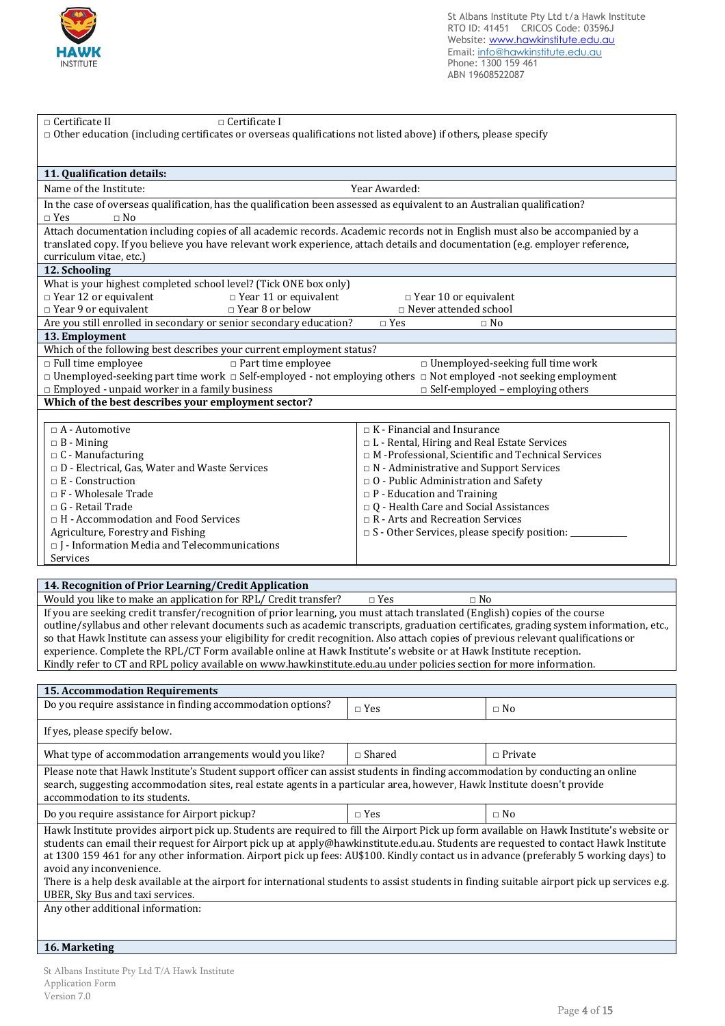

| □ Certificate II<br>$\Box$ Certificate I<br>$\Box$ Other education (including certificates or overseas qualifications not listed above) if others, please specify                          |                                                                                                                                               |  |  |
|--------------------------------------------------------------------------------------------------------------------------------------------------------------------------------------------|-----------------------------------------------------------------------------------------------------------------------------------------------|--|--|
|                                                                                                                                                                                            |                                                                                                                                               |  |  |
|                                                                                                                                                                                            |                                                                                                                                               |  |  |
| 11. Qualification details:                                                                                                                                                                 |                                                                                                                                               |  |  |
| Name of the Institute:                                                                                                                                                                     | Year Awarded:                                                                                                                                 |  |  |
| In the case of overseas qualification, has the qualification been assessed as equivalent to an Australian qualification?                                                                   |                                                                                                                                               |  |  |
| $\Box$ Yes<br>$\Box$ No                                                                                                                                                                    |                                                                                                                                               |  |  |
| Attach documentation including copies of all academic records. Academic records not in English must also be accompanied by a                                                               |                                                                                                                                               |  |  |
| translated copy. If you believe you have relevant work experience, attach details and documentation (e.g. employer reference,                                                              |                                                                                                                                               |  |  |
| curriculum vitae, etc.)                                                                                                                                                                    |                                                                                                                                               |  |  |
| 12. Schooling                                                                                                                                                                              |                                                                                                                                               |  |  |
| What is your highest completed school level? (Tick ONE box only)                                                                                                                           |                                                                                                                                               |  |  |
| $\Box$ Year 12 or equivalent<br>$\Box$ Year 11 or equivalent                                                                                                                               | $\Box$ Year 10 or equivalent                                                                                                                  |  |  |
| $\Box$ Year 9 or equivalent<br>$\Box$ Year 8 or below                                                                                                                                      | $\hfill \Box$ Never attended school                                                                                                           |  |  |
| Are you still enrolled in secondary or senior secondary education?                                                                                                                         | $\Box$ Yes<br>$\Box$ No                                                                                                                       |  |  |
| 13. Employment                                                                                                                                                                             |                                                                                                                                               |  |  |
| Which of the following best describes your current employment status?                                                                                                                      |                                                                                                                                               |  |  |
| $\Box$ Full time employee<br>$\Box$ Part time employee<br>$\Box$ Unemployed-seeking part time work $\Box$ Self-employed - not employing others $\Box$ Not employed -not seeking employment | $\Box$ Unemployed-seeking full time work                                                                                                      |  |  |
| $\Box$ Employed - unpaid worker in a family business                                                                                                                                       | $\Box$ Self-employed – employing others                                                                                                       |  |  |
| Which of the best describes your employment sector?                                                                                                                                        |                                                                                                                                               |  |  |
|                                                                                                                                                                                            |                                                                                                                                               |  |  |
| $\Box$ A - Automotive                                                                                                                                                                      | $\Box$ K - Financial and Insurance                                                                                                            |  |  |
| $\Box$ B - Mining                                                                                                                                                                          | □ L - Rental, Hiring and Real Estate Services                                                                                                 |  |  |
| $\Box$ C - Manufacturing                                                                                                                                                                   | $\Box$ M -Professional, Scientific and Technical Services                                                                                     |  |  |
| $\Box$ D - Electrical, Gas, Water and Waste Services                                                                                                                                       | $\Box$ N - Administrative and Support Services                                                                                                |  |  |
| $\Box$ E - Construction                                                                                                                                                                    | $\Box$ O - Public Administration and Safety                                                                                                   |  |  |
| $\Box$ F - Wholesale Trade                                                                                                                                                                 | $\Box$ P - Education and Training                                                                                                             |  |  |
| $\Box$ G - Retail Trade                                                                                                                                                                    | $\Box$ Q - Health Care and Social Assistances                                                                                                 |  |  |
| $\Box$ H - Accommodation and Food Services                                                                                                                                                 | $\Box$ R - Arts and Recreation Services                                                                                                       |  |  |
| Agriculture, Forestry and Fishing                                                                                                                                                          | $\square$ S - Other Services, please specify position: _____                                                                                  |  |  |
| $\Box$ J - Information Media and Telecommunications                                                                                                                                        |                                                                                                                                               |  |  |
| Services                                                                                                                                                                                   |                                                                                                                                               |  |  |
|                                                                                                                                                                                            |                                                                                                                                               |  |  |
| 14. Recognition of Prior Learning/Credit Application<br>Would you like to make an application for RPL/ Credit transfer?                                                                    | $\Box$ Yes<br>$\Box$ No                                                                                                                       |  |  |
| If you are seeking credit transfer/recognition of prior learning, you must attach translated (English) copies of the course                                                                |                                                                                                                                               |  |  |
|                                                                                                                                                                                            | outline/syllabus and other relevant documents such as academic transcripts, graduation certificates, grading system information, etc.,        |  |  |
| so that Hawk Institute can assess your eligibility for credit recognition. Also attach copies of previous relevant qualifications or                                                       |                                                                                                                                               |  |  |
| experience. Complete the RPL/CT Form available online at Hawk Institute's website or at Hawk Institute reception.                                                                          |                                                                                                                                               |  |  |
| Kindly refer to CT and RPL policy available on www.hawkinstitute.edu.au under policies section for more information.                                                                       |                                                                                                                                               |  |  |
|                                                                                                                                                                                            |                                                                                                                                               |  |  |
| <b>15. Accommodation Requirements</b>                                                                                                                                                      |                                                                                                                                               |  |  |
| Do you require assistance in finding accommodation options?                                                                                                                                | $\Box$ Yes<br>$\Box$ No                                                                                                                       |  |  |
|                                                                                                                                                                                            |                                                                                                                                               |  |  |
| If yes, please specify below.                                                                                                                                                              |                                                                                                                                               |  |  |
| What type of accommodation arrangements would you like?                                                                                                                                    | $\Box$ Shared<br>$\Box$ Private                                                                                                               |  |  |
| Please note that Hawk Institute's Student support officer can assist students in finding accommodation by conducting an online                                                             |                                                                                                                                               |  |  |
| search, suggesting accommodation sites, real estate agents in a particular area, however, Hawk Institute doesn't provide                                                                   |                                                                                                                                               |  |  |
| accommodation to its students.                                                                                                                                                             |                                                                                                                                               |  |  |
|                                                                                                                                                                                            |                                                                                                                                               |  |  |
| Do you require assistance for Airport pickup?                                                                                                                                              | $\Box$ Yes<br>$\Box$ No                                                                                                                       |  |  |
|                                                                                                                                                                                            | Hawk Institute provides airport pick up. Students are required to fill the Airport Pick up form available on Hawk Institute's website or      |  |  |
|                                                                                                                                                                                            | students can email their request for Airport pick up at apply@hawkinstitute.edu.au. Students are requested to contact Hawk Institute          |  |  |
|                                                                                                                                                                                            | at 1300 159 461 for any other information. Airport pick up fees: AU\$100. Kindly contact us in advance (preferably 5 working days) to         |  |  |
| avoid any inconvenience.                                                                                                                                                                   |                                                                                                                                               |  |  |
|                                                                                                                                                                                            | There is a help desk available at the airport for international students to assist students in finding suitable airport pick up services e.g. |  |  |
| UBER, Sky Bus and taxi services.                                                                                                                                                           |                                                                                                                                               |  |  |
| Any other additional information:                                                                                                                                                          |                                                                                                                                               |  |  |
|                                                                                                                                                                                            |                                                                                                                                               |  |  |
| 16. Marketing                                                                                                                                                                              |                                                                                                                                               |  |  |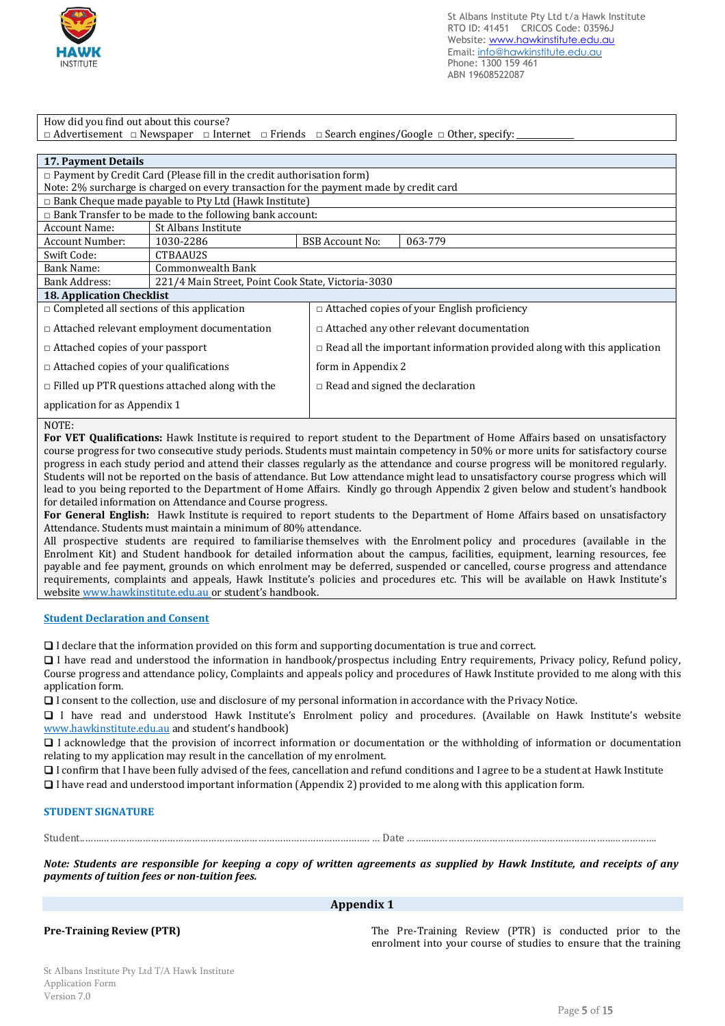

How did you find out about this course?

□ Advertisement □ Newspaper □ Internet □ Friends □ Search engines/Google □ Other, specify:

| <b>17. Payment Details</b>                                                                       |                                                                                        |                        |                                                                                |  |  |
|--------------------------------------------------------------------------------------------------|----------------------------------------------------------------------------------------|------------------------|--------------------------------------------------------------------------------|--|--|
|                                                                                                  | $\Box$ Payment by Credit Card (Please fill in the credit authorisation form)           |                        |                                                                                |  |  |
|                                                                                                  | Note: 2% surcharge is charged on every transaction for the payment made by credit card |                        |                                                                                |  |  |
|                                                                                                  | $\Box$ Bank Cheque made payable to Pty Ltd (Hawk Institute)                            |                        |                                                                                |  |  |
|                                                                                                  | $\Box$ Bank Transfer to be made to the following bank account:                         |                        |                                                                                |  |  |
| Account Name:                                                                                    | St Albans Institute                                                                    |                        |                                                                                |  |  |
| Account Number:                                                                                  | 1030-2286                                                                              | <b>BSB Account No:</b> | 063-779                                                                        |  |  |
| Swift Code:                                                                                      | CTBAAU2S                                                                               |                        |                                                                                |  |  |
| <b>Bank Name:</b>                                                                                | Commonwealth Bank                                                                      |                        |                                                                                |  |  |
| Bank Address:                                                                                    | 221/4 Main Street, Point Cook State, Victoria-3030                                     |                        |                                                                                |  |  |
|                                                                                                  | <b>18. Application Checklist</b>                                                       |                        |                                                                                |  |  |
| $\Box$ Completed all sections of this application                                                |                                                                                        |                        | $\Box$ Attached copies of your English proficiency                             |  |  |
|                                                                                                  | $\Box$ Attached relevant employment documentation                                      |                        | $\Box$ Attached any other relevant documentation                               |  |  |
| $\Box$ Attached copies of your passport                                                          |                                                                                        |                        | $\Box$ Read all the important information provided along with this application |  |  |
|                                                                                                  | form in Appendix 2<br>$\Box$ Attached copies of your qualifications                    |                        |                                                                                |  |  |
| $\Box$ Filled up PTR questions attached along with the<br>$\Box$ Read and signed the declaration |                                                                                        |                        |                                                                                |  |  |
| application for as Appendix 1                                                                    |                                                                                        |                        |                                                                                |  |  |

# NOTE:

**For VET Qualifications:** Hawk Institute is required to report student to the Department of Home Affairs based on unsatisfactory course progress for two consecutive study periods. Students must maintain competency in 50% or more units for satisfactory course progress in each study period and attend their classes regularly as the attendance and course progress will be monitored regularly. Students will not be reported on the basis of attendance. But Low attendance might lead to unsatisfactory course progress which will lead to you being reported to the Department of Home Affairs. Kindly go through Appendix 2 given below and student's handbook for detailed information on Attendance and Course progress.

**For General English:** Hawk Institute is required to report students to the Department of Home Affairs based on unsatisfactory Attendance. Students must maintain a minimum of 80% attendance.

All prospective students are required to familiarise themselves with the Enrolment policy and procedures (available in the Enrolment Kit) and Student handbook for detailed information about the campus, facilities, equipment, learning resources, fee payable and fee payment, grounds on which enrolment may be deferred, suspended or cancelled, course progress and attendance requirements, complaints and appeals, Hawk Institute's policies and procedures etc. This will be available on Hawk Institute's website www.hawkinstitute.edu.au or student's handbook.

# **Student Declaration and Consent**

❑ I declare that the information provided on this form and supporting documentation is true and correct.

❑ I have read and understood the information in handbook/prospectus including Entry requirements, Privacy policy, Refund policy, Course progress and attendance policy, Complaints and appeals policy and procedures of Hawk Institute provided to me along with this application form.

❑ I consent to the collection, use and disclosure of my personal information in accordance with the Privacy Notice.

❑ I have read and understood Hawk Institute's Enrolment policy and procedures. (Available on Hawk Institute's website www.hawkinstitute.edu.au and student's handbook)

❑ I acknowledge that the provision of incorrect information or documentation or the withholding of information or documentation relating to my application may result in the cancellation of my enrolment.

❑ I confirm that I have been fully advised of the fees, cancellation and refund conditions and I agree to be a student at Hawk Institute

❑ I have read and understood important information (Appendix 2) provided to me along with this application form.

# **STUDENT SIGNATURE**

Student..………………………………………………………………………………………….. … Date ……………………………………………………………………………….

*Note: Students are responsible for keeping a copy of written agreements as supplied by Hawk Institute, and receipts of any payments of tuition fees or non-tuition fees.*

## **Appendix 1**

**Pre-Training Review (PTR)** The Pre-Training Review (PTR) is conducted prior to the enrolment into your course of studies to ensure that the training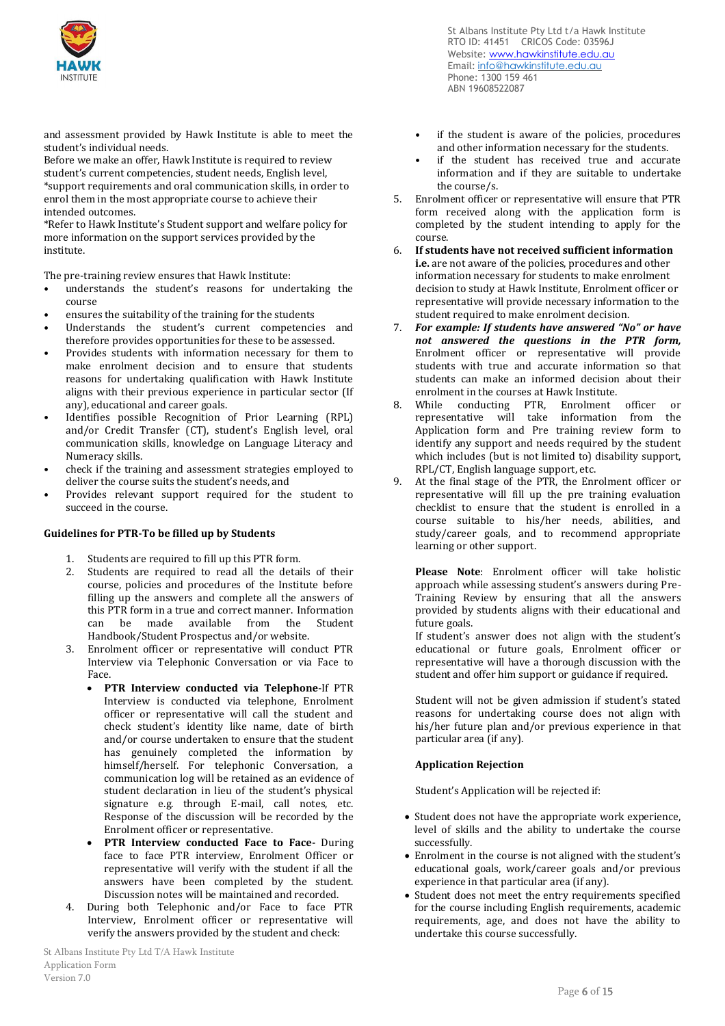

and assessment provided by Hawk Institute is able to meet the student's individual needs.

Before we make an offer, Hawk Institute is required to review student's current competencies, student needs, English level, \*support requirements and oral communication skills, in order to enrol them in the most appropriate course to achieve their intended outcomes.

\*Refer to Hawk Institute's Student support and welfare policy for more information on the support services provided by the institute.

The pre-training review ensures that Hawk Institute:

- understands the student's reasons for undertaking the course
- ensures the suitability of the training for the students
- Understands the student's current competencies and therefore provides opportunities for these to be assessed.
- Provides students with information necessary for them to make enrolment decision and to ensure that students reasons for undertaking qualification with Hawk Institute aligns with their previous experience in particular sector (If any), educational and career goals.
- Identifies possible Recognition of Prior Learning (RPL) and/or Credit Transfer (CT), student's English level, oral communication skills, knowledge on Language Literacy and Numeracy skills.
- check if the training and assessment strategies employed to deliver the course suits the student's needs, and
- Provides relevant support required for the student to succeed in the course.

### **Guidelines for PTR-To be filled up by Students**

- 1. Students are required to fill up this PTR form.
- 2. Students are required to read all the details of their course, policies and procedures of the Institute before filling up the answers and complete all the answers of this PTR form in a true and correct manner. Information<br>can be made available from the Student available from the Handbook/Student Prospectus and/or website.
- 3. Enrolment officer or representative will conduct PTR Interview via Telephonic Conversation or via Face to Face.
	- **PTR Interview conducted via Telephone**-If PTR Interview is conducted via telephone, Enrolment officer or representative will call the student and check student's identity like name, date of birth and/or course undertaken to ensure that the student has genuinely completed the information by himself/herself. For telephonic Conversation, a communication log will be retained as an evidence of student declaration in lieu of the student's physical signature e.g. through E-mail, call notes, etc. Response of the discussion will be recorded by the Enrolment officer or representative.
	- **PTR Interview conducted Face to Face-** During face to face PTR interview, Enrolment Officer or representative will verify with the student if all the answers have been completed by the student. Discussion notes will be maintained and recorded.
- 4. During both Telephonic and/or Face to face PTR Interview, Enrolment officer or representative will verify the answers provided by the student and check:

St Albans Institute Pty Ltd t/a Hawk Institute RTO ID: 41451 CRICOS Code: 03596J Website: www.hawkinstitute.edu.au Email: [info@hawkinstitute.edu.au](mailto:info@hawkinstitute.edu.au) Phone: 1300 159 461 ABN 19608522087

- if the student is aware of the policies, procedures and other information necessary for the students.
- if the student has received true and accurate information and if they are suitable to undertake the course/s.
- 5. Enrolment officer or representative will ensure that PTR form received along with the application form is completed by the student intending to apply for the course.
- 6. **If students have not received sufficient information i.e.** are not aware of the policies, procedures and other information necessary for students to make enrolment decision to study at Hawk Institute, Enrolment officer or representative will provide necessary information to the student required to make enrolment decision.
- 7. *For example: If students have answered "No" or have not answered the questions in the PTR form,*  Enrolment officer or representative will provide students with true and accurate information so that students can make an informed decision about their enrolment in the courses at Hawk Institute.
- 8. While conducting PTR, Enrolment officer or representative will take information from the Application form and Pre training review form to identify any support and needs required by the student which includes (but is not limited to) disability support, RPL/CT, English language support, etc.
- 9. At the final stage of the PTR, the Enrolment officer or representative will fill up the pre training evaluation checklist to ensure that the student is enrolled in a course suitable to his/her needs, abilities, and study/career goals, and to recommend appropriate learning or other support.

**Please Note**: Enrolment officer will take holistic approach while assessing student's answers during Pre-Training Review by ensuring that all the answers provided by students aligns with their educational and future goals.

If student's answer does not align with the student's educational or future goals, Enrolment officer or representative will have a thorough discussion with the student and offer him support or guidance if required.

Student will not be given admission if student's stated reasons for undertaking course does not align with his/her future plan and/or previous experience in that particular area (if any).

### **Application Rejection**

Student's Application will be rejected if:

- Student does not have the appropriate work experience, level of skills and the ability to undertake the course successfully.
- Enrolment in the course is not aligned with the student's educational goals, work/career goals and/or previous experience in that particular area (if any).
- Student does not meet the entry requirements specified for the course including English requirements, academic requirements, age, and does not have the ability to undertake this course successfully.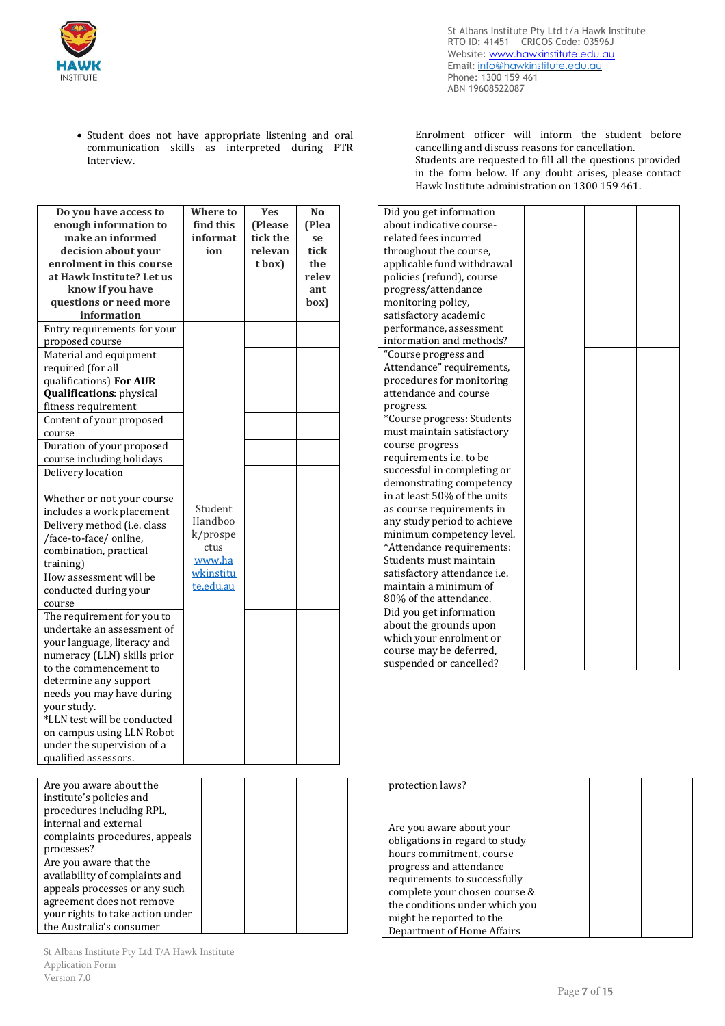

St Albans Institute Pty Ltd t/a Hawk Institute RTO ID: 41451 CRICOS Code: 03596J Website: www.hawkinstitute.edu.au Email: [info@hawkinstitute.edu.au](mailto:info@hawkinstitute.edu.au) Phone: 1300 159 461 ABN 19608522087

• Student does not have appropriate listening and oral communication skills as interpreted during PTR Interview.

| Do you have access to            | Where to  | <b>Yes</b> | N <sub>0</sub> |
|----------------------------------|-----------|------------|----------------|
| enough information to            | find this | (Please    | (Plea          |
| make an informed                 | informat  | tick the   | se             |
| decision about your              | ion       | relevan    | tick           |
| enrolment in this course         |           | t box)     | the            |
| at Hawk Institute? Let us        |           |            | relev          |
| know if you have                 |           |            | ant            |
| questions or need more           |           |            | box)           |
| information                      |           |            |                |
| Entry requirements for your      |           |            |                |
| proposed course                  |           |            |                |
| Material and equipment           |           |            |                |
| required (for all                |           |            |                |
| qualifications) For AUR          |           |            |                |
|                                  |           |            |                |
| <b>Qualifications: physical</b>  |           |            |                |
| fitness requirement              |           |            |                |
| Content of your proposed         |           |            |                |
| course                           |           |            |                |
| Duration of your proposed        |           |            |                |
| course including holidays        |           |            |                |
| Delivery location                |           |            |                |
|                                  |           |            |                |
| Whether or not your course       |           |            |                |
| includes a work placement        | Student   |            |                |
| Delivery method (i.e. class      | Handboo   |            |                |
| /face-to-face/ online,           | k/prospe  |            |                |
| combination, practical           | ctus      |            |                |
| training)                        | www.ha    |            |                |
| How assessment will be           | wkinstitu |            |                |
| conducted during your            | te.edu.au |            |                |
| course                           |           |            |                |
| The requirement for you to       |           |            |                |
| undertake an assessment of       |           |            |                |
| your language, literacy and      |           |            |                |
| numeracy (LLN) skills prior      |           |            |                |
| to the commencement to           |           |            |                |
| determine any support            |           |            |                |
| needs you may have during        |           |            |                |
| your study.                      |           |            |                |
| *LLN test will be conducted      |           |            |                |
|                                  |           |            |                |
| on campus using LLN Robot        |           |            |                |
| under the supervision of a       |           |            |                |
| qualified assessors.             |           |            |                |
|                                  |           |            |                |
| Are you aware about the          |           |            |                |
| institute's policies and         |           |            |                |
| procedures including RPL,        |           |            |                |
| internal and external            |           |            |                |
| complaints procedures, appeals   |           |            |                |
| processes?                       |           |            |                |
| Are you aware that the           |           |            |                |
| availability of complaints and   |           |            |                |
| appeals processes or any such    |           |            |                |
| agreement does not remove        |           |            |                |
| your rights to take action under |           |            |                |
| the Australia's consumer         |           |            |                |
|                                  |           |            |                |

Enrolment officer will inform the student before cancelling and discuss reasons for cancellation. Students are requested to fill all the questions provided in the form below. If any doubt arises, please contact Hawk Institute administration on 1300 159 461.

| Did you get information        |  |
|--------------------------------|--|
| about indicative course-       |  |
| related fees incurred          |  |
| throughout the course,         |  |
| applicable fund withdrawal     |  |
| policies (refund), course      |  |
| progress/attendance            |  |
| monitoring policy,             |  |
| satisfactory academic          |  |
| performance, assessment        |  |
| information and methods?       |  |
| "Course progress and           |  |
| Attendance" requirements,      |  |
| procedures for monitoring      |  |
| attendance and course          |  |
| progress.                      |  |
| *Course progress: Students     |  |
| must maintain satisfactory     |  |
| course progress                |  |
| requirements <i>i.e.</i> to be |  |
| successful in completing or    |  |
| demonstrating competency       |  |
| in at least 50% of the units   |  |
| as course requirements in      |  |
| any study period to achieve    |  |
| minimum competency level.      |  |
| *Attendance requirements:      |  |
| Students must maintain         |  |
| satisfactory attendance i.e.   |  |
| maintain a minimum of          |  |
| 80% of the attendance.         |  |
| Did you get information        |  |
| about the grounds upon         |  |
| which your enrolment or        |  |
| course may be deferred,        |  |
| suspended or cancelled?        |  |

| protection laws?               |  |  |
|--------------------------------|--|--|
|                                |  |  |
| Are you aware about your       |  |  |
| obligations in regard to study |  |  |
| hours commitment, course       |  |  |
| progress and attendance        |  |  |
| requirements to successfully   |  |  |
| complete your chosen course &  |  |  |
| the conditions under which you |  |  |
| might be reported to the       |  |  |
| Department of Home Affairs     |  |  |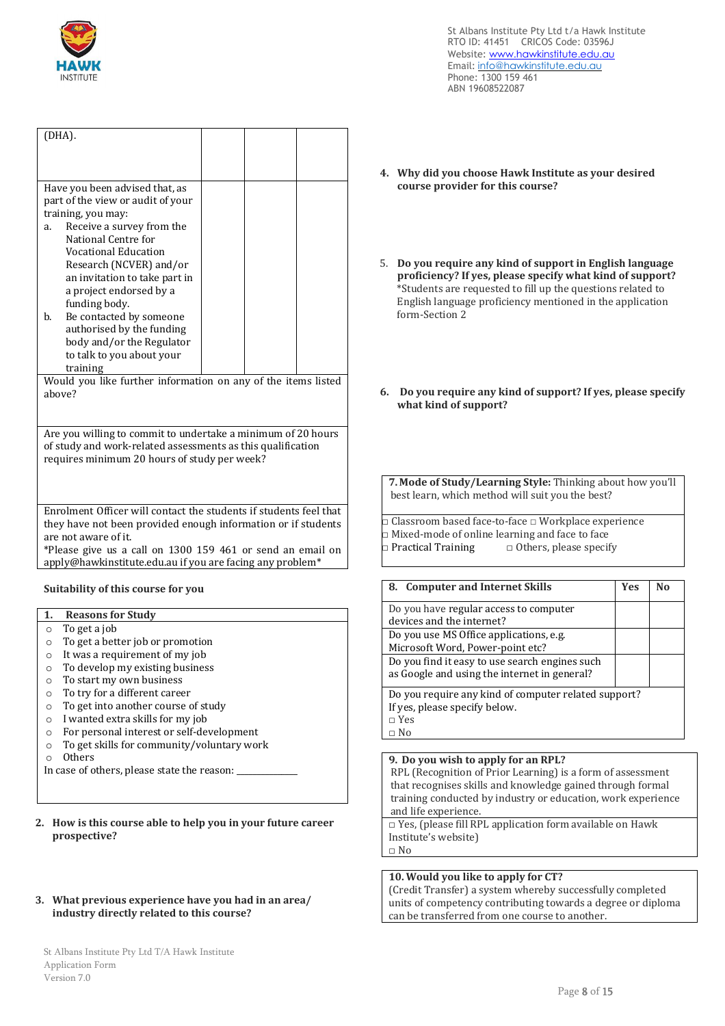

| (DHA).                                                        |                                                                                                                                    |  |  |  |  |
|---------------------------------------------------------------|------------------------------------------------------------------------------------------------------------------------------------|--|--|--|--|
|                                                               |                                                                                                                                    |  |  |  |  |
|                                                               |                                                                                                                                    |  |  |  |  |
|                                                               |                                                                                                                                    |  |  |  |  |
| Have you been advised that, as                                |                                                                                                                                    |  |  |  |  |
| part of the view or audit of your                             |                                                                                                                                    |  |  |  |  |
| training, you may:                                            |                                                                                                                                    |  |  |  |  |
| Receive a survey from the<br>a.                               |                                                                                                                                    |  |  |  |  |
| National Centre for                                           |                                                                                                                                    |  |  |  |  |
| Vocational Education                                          |                                                                                                                                    |  |  |  |  |
| Research (NCVER) and/or<br>an invitation to take part in      |                                                                                                                                    |  |  |  |  |
| a project endorsed by a                                       |                                                                                                                                    |  |  |  |  |
| funding body.                                                 |                                                                                                                                    |  |  |  |  |
| b.<br>Be contacted by someone                                 |                                                                                                                                    |  |  |  |  |
| authorised by the funding                                     |                                                                                                                                    |  |  |  |  |
| body and/or the Regulator                                     |                                                                                                                                    |  |  |  |  |
| to talk to you about your                                     |                                                                                                                                    |  |  |  |  |
| training                                                      |                                                                                                                                    |  |  |  |  |
| Would you like further information on any of the items listed |                                                                                                                                    |  |  |  |  |
| above?                                                        |                                                                                                                                    |  |  |  |  |
|                                                               |                                                                                                                                    |  |  |  |  |
|                                                               |                                                                                                                                    |  |  |  |  |
| Are you willing to commit to undertake a minimum of 20 hours  |                                                                                                                                    |  |  |  |  |
| of study and work-related assessments as this qualification   |                                                                                                                                    |  |  |  |  |
| requires minimum 20 hours of study per week?                  |                                                                                                                                    |  |  |  |  |
|                                                               |                                                                                                                                    |  |  |  |  |
|                                                               |                                                                                                                                    |  |  |  |  |
|                                                               |                                                                                                                                    |  |  |  |  |
|                                                               | Enrolment Officer will contact the students if students feel that<br>they have not been provided enough information or if students |  |  |  |  |
| are not aware of it.                                          |                                                                                                                                    |  |  |  |  |
| *Please give us a call on 1300 159 461 or send an email on    |                                                                                                                                    |  |  |  |  |
|                                                               | apply@hawkinstitute.edu.au if you are facing any problem*                                                                          |  |  |  |  |
|                                                               |                                                                                                                                    |  |  |  |  |
| Suitability of this course for you                            |                                                                                                                                    |  |  |  |  |
|                                                               |                                                                                                                                    |  |  |  |  |
| <b>Reasons for Study</b><br>1.                                |                                                                                                                                    |  |  |  |  |

## o To get a job

- o To get a better job or promotion
- o It was a requirement of my job
- o To develop my existing business
- o To start my own business
- o To try for a different career
- o To get into another course of study
- o I wanted extra skills for my job
- o For personal interest or self-development
- o To get skills for community/voluntary work
- o Others

In case of others, please state the reason:

### **2. How is this course able to help you in your future career prospective?**

# **3. What previous experience have you had in an area/ industry directly related to this course?**

- **4. Why did you choose Hawk Institute as your desired course provider for this course?**
- 5. **Do you require any kind of support in English language proficiency? If yes, please specify what kind of support?**  \*Students are requested to fill up the questions related to English language proficiency mentioned in the application form-Section 2
- **6. Do you require any kind of support? If yes, please specify what kind of support?**

**7. Mode of Study/Learning Style:** Thinking about how you'll best learn, which method will suit you the best?

□ Classroom based face-to-face □ Workplace experience □ Mixed-mode of online learning and face to face □ Practical Training □ Others, please specify

| 8. Computer and Internet Skills                                                                                      | <b>Yes</b> | N٥ |
|----------------------------------------------------------------------------------------------------------------------|------------|----|
| Do you have regular access to computer<br>devices and the internet?                                                  |            |    |
| Do you use MS Office applications, e.g.<br>Microsoft Word, Power-point etc?                                          |            |    |
| Do you find it easy to use search engines such<br>as Google and using the internet in general?                       |            |    |
| Do you require any kind of computer related support?<br>If yes, please specify below.<br>$\sqcap$ Yes<br>$\sqcap$ No |            |    |

**9. Do you wish to apply for an RPL?** 

RPL (Recognition of Prior Learning) is a form of assessment that recognises skills and knowledge gained through formal training conducted by industry or education, work experience and life experience.

□ Yes, (please fill RPL application form available on Hawk Institute's website) □ No

# **10. Would you like to apply for CT?**

(Credit Transfer) a system whereby successfully completed units of competency contributing towards a degree or diploma can be transferred from one course to another.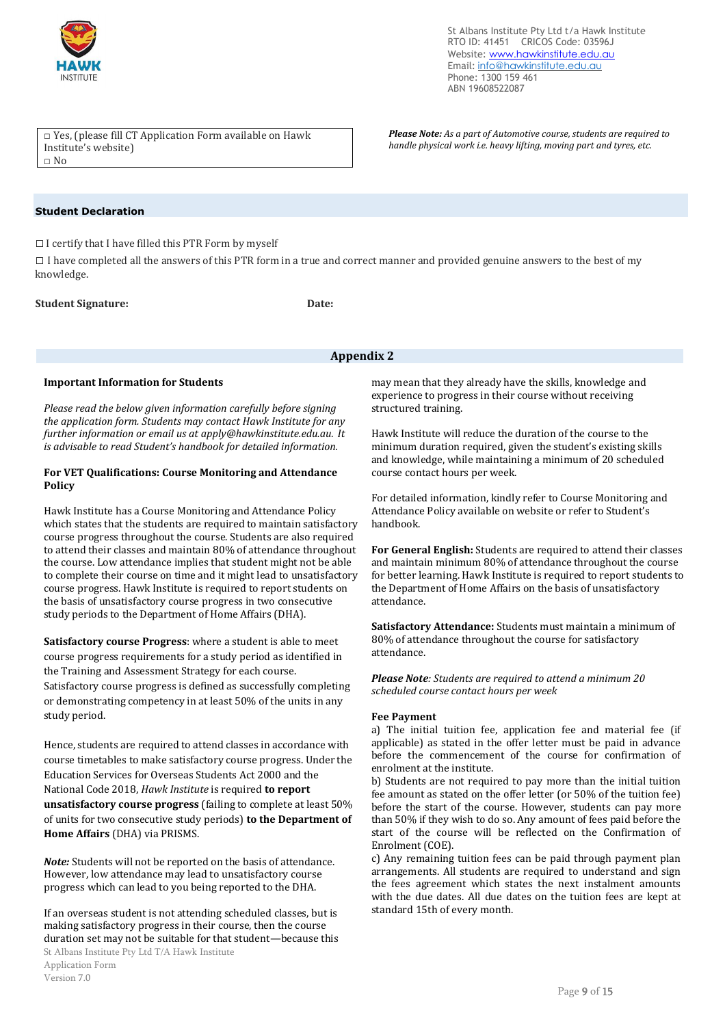

St Albans Institute Pty Ltd t/a Hawk Institute RTO ID: 41451 CRICOS Code: 03596J Website: www.hawkinstitute.edu.au Email: [info@hawkinstitute.edu.au](mailto:info@hawkinstitute.edu.au) Phone: 1300 159 461 ABN 19608522087

□ Yes, (please fill CT Application Form available on Hawk Institute's website) □ No

#### *Please Note: As a part of Automotive course, students are required to handle physical work i.e. heavy lifting, moving part and tyres, etc.*

# **Student Declaration**

□ I certify that I have filled this PTR Form by myself

 $\Box$  I have completed all the answers of this PTR form in a true and correct manner and provided genuine answers to the best of my knowledge.

#### **Student Signature: Date:**

# **Appendix 2**

#### **Important Information for Students**

*Please read the below given information carefully before signing the application form. Students may contact Hawk Institute for any further information or email us at [apply@hawkinstitute.edu.au.](mailto:apply@hawkinstitute.edu.au) It is advisable to read Student's handbook for detailed information.*

#### **For VET Qualifications: Course Monitoring and Attendance Policy**

Hawk Institute has a Course Monitoring and Attendance Policy which states that the students are required to maintain satisfactory course progress throughout the course. Students are also required to attend their classes and maintain 80% of attendance throughout the course. Low attendance implies that student might not be able to complete their course on time and it might lead to unsatisfactory course progress. Hawk Institute is required to report students on the basis of unsatisfactory course progress in two consecutive study periods to the Department of Home Affairs (DHA).

**Satisfactory course Progress**: where a student is able to meet course progress requirements for a study period as identified in the Training and Assessment Strategy for each course. Satisfactory course progress is defined as successfully completing or demonstrating competency in at least 50% of the units in any study period.

Hence, students are required to attend classes in accordance with course timetables to make satisfactory course progress. Under the Education Services for Overseas Students Act 2000 and the National Code 2018, *Hawk Institute* is required **to report unsatisfactory course progress** (failing to complete at least 50% of units for two consecutive study periods) **to the Department of Home Affairs** (DHA) via PRISMS.

*Note:* Students will not be reported on the basis of attendance. However, low attendance may lead to unsatisfactory course progress which can lead to you being reported to the DHA.

If an overseas student is not attending scheduled classes, but is making satisfactory progress in their course, then the course duration set may not be suitable for that student—because this

may mean that they already have the skills, knowledge and experience to progress in their course without receiving structured training.

Hawk Institute will reduce the duration of the course to the minimum duration required, given the student's existing skills and knowledge, while maintaining a minimum of 20 scheduled course contact hours per week.

For detailed information, kindly refer to Course Monitoring and Attendance Policy available on website or refer to Student's handbook.

**For General English:** Students are required to attend their classes and maintain minimum 80% of attendance throughout the course for better learning. Hawk Institute is required to report students to the Department of Home Affairs on the basis of unsatisfactory attendance.

**Satisfactory Attendance:** Students must maintain a minimum of 80% of attendance throughout the course for satisfactory attendance.

*Please Note: Students are required to attend a minimum 20 scheduled course contact hours per week*

### **Fee Payment**

a) The initial tuition fee, application fee and material fee (if applicable) as stated in the offer letter must be paid in advance before the commencement of the course for confirmation of enrolment at the institute.

b) Students are not required to pay more than the initial tuition fee amount as stated on the offer letter (or 50% of the tuition fee) before the start of the course. However, students can pay more than 50% if they wish to do so. Any amount of fees paid before the start of the course will be reflected on the Confirmation of Enrolment (COE).

c) Any remaining tuition fees can be paid through payment plan arrangements. All students are required to understand and sign the fees agreement which states the next instalment amounts with the due dates. All due dates on the tuition fees are kept at standard 15th of every month.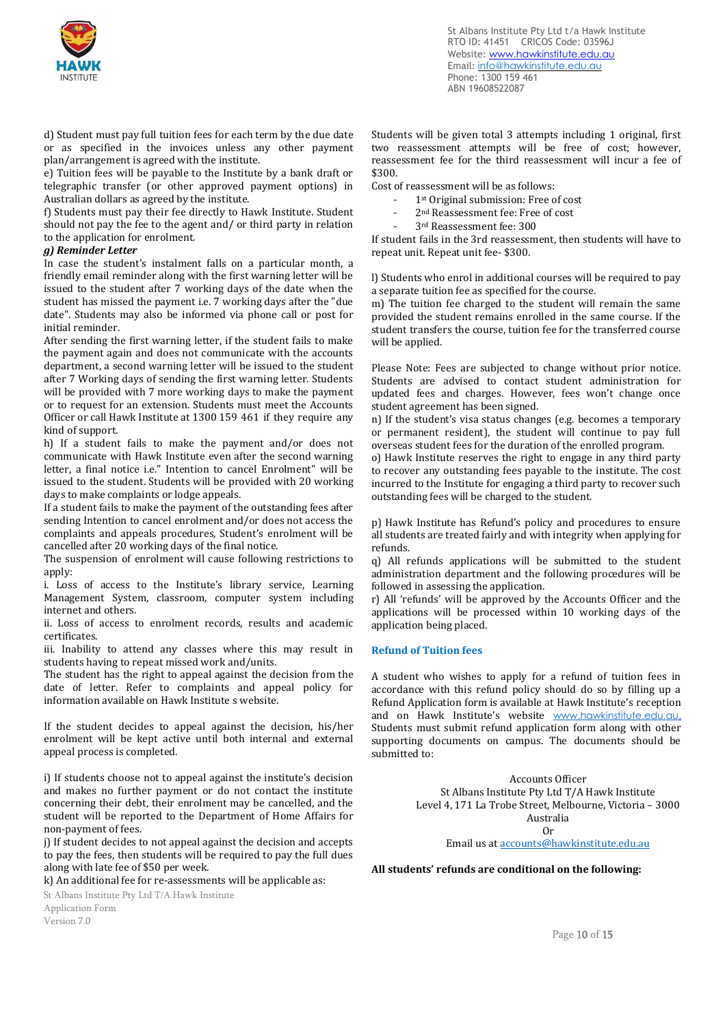

St Albans Institute Pty Ltd t/a Hawk Institute RTO ID: 41451 CRICOS Code: 03596J Website: www.hawkinstitute.edu.au Email: [info@hawkinstitute.edu.au](mailto:info@hawkinstitute.edu.au) Phone: 1300 159 461 ABN 19608522087

d) Student must pay full tuition fees for each term by the due date or as specified in the invoices unless any other payment plan/arrangement is agreed with the institute.

e) Tuition fees will be payable to the Institute by a bank draft or telegraphic transfer (or other approved payment options) in Australian dollars as agreed by the institute.

f) Students must pay their fee directly to Hawk Institute. Student should not pay the fee to the agent and/ or third party in relation to the application for enrolment.

#### *g) Reminder Letter*

In case the student's instalment falls on a particular month, a friendly email reminder along with the first warning letter will be issued to the student after 7 working days of the date when the student has missed the payment i.e. 7 working days after the "due date". Students may also be informed via phone call or post for initial reminder.

After sending the first warning letter, if the student fails to make the payment again and does not communicate with the accounts department, a second warning letter will be issued to the student after 7 Working days of sending the first warning letter. Students will be provided with 7 more working days to make the payment or to request for an extension. Students must meet the Accounts Officer or call Hawk Institute at 1300 159 461 if they require any kind of support.

h) If a student fails to make the payment and/or does not communicate with Hawk Institute even after the second warning letter, a final notice i.e." Intention to cancel Enrolment" will be issued to the student. Students will be provided with 20 working days to make complaints or lodge appeals.

If a student fails to make the payment of the outstanding fees after sending Intention to cancel enrolment and/or does not access the complaints and appeals procedures, Student's enrolment will be cancelled after 20 working days of the final notice.

The suspension of enrolment will cause following restrictions to apply:

i. Loss of access to the Institute's library service, Learning Management System, classroom, computer system including internet and others.

ii. Loss of access to enrolment records, results and academic certificates.

iii. Inability to attend any classes where this may result in students having to repeat missed work and/units.

The student has the right to appeal against the decision from the date of letter. Refer to complaints and appeal policy for information available on Hawk Institute s website.

If the student decides to appeal against the decision, his/her enrolment will be kept active until both internal and external appeal process is completed.

i) If students choose not to appeal against the institute's decision and makes no further payment or do not contact the institute concerning their debt, their enrolment may be cancelled, and the student will be reported to the Department of Home Affairs for non-payment of fees.

j) If student decides to not appeal against the decision and accepts to pay the fees, then students will be required to pay the full dues along with late fee of \$50 per week.

k) An additional fee for re-assessments will be applicable as:

St Albans Institute Pty Ltd T/A Hawk Institute

Application Form Version 7.0

Students will be given total 3 attempts including 1 original, first two reassessment attempts will be free of cost; however, reassessment fee for the third reassessment will incur a fee of \$300.

Cost of reassessment will be as follows:

- 1<sup>st</sup> Original submission: Free of cost
- 2<sup>nd</sup> Reassessment fee: Free of cost
- 3<sup>rd</sup> Reassessment fee: 300

If student fails in the 3rd reassessment, then students will have to repeat unit. Repeat unit fee- \$300.

l) Students who enrol in additional courses will be required to pay a separate tuition fee as specified for the course.

m) The tuition fee charged to the student will remain the same provided the student remains enrolled in the same course. If the student transfers the course, tuition fee for the transferred course will be applied.

Please Note: Fees are subjected to change without prior notice. Students are advised to contact student administration for updated fees and charges. However, fees won't change once student agreement has been signed.

n) If the student's visa status changes (e.g. becomes a temporary or permanent resident), the student will continue to pay full overseas student fees for the duration of the enrolled program.

o) Hawk Institute reserves the right to engage in any third party to recover any outstanding fees payable to the institute. The cost incurred to the Institute for engaging a third party to recover such outstanding fees will be charged to the student.

p) Hawk Institute has Refund's policy and procedures to ensure all students are treated fairly and with integrity when applying for refunds.

q) All refunds applications will be submitted to the student administration department and the following procedures will be followed in assessing the application.

r) All 'refunds' will be approved by the Accounts Officer and the applications will be processed within 10 working days of the application being placed.

## **Refund of Tuition fees**

A student who wishes to apply for a refund of tuition fees in accordance with this refund policy should do so by filling up a Refund Application form is available at Hawk Institute's reception and on Hawk Institute's website [www.hawkinstitute.edu.au.](http://www.hawkinstitute.edu.au/) Students must submit refund application form along with other supporting documents on campus. The documents should be submitted to:

> Accounts Officer St Albans Institute Pty Ltd T/A Hawk Institute Level 4, 171 La Trobe Street, Melbourne, Victoria – 3000 Australia Or

#### Email us a[t accounts@hawkinstitute.edu.au](mailto:accounts@hawkinstitute.edu.au)

**All students' refunds are conditional on the following:**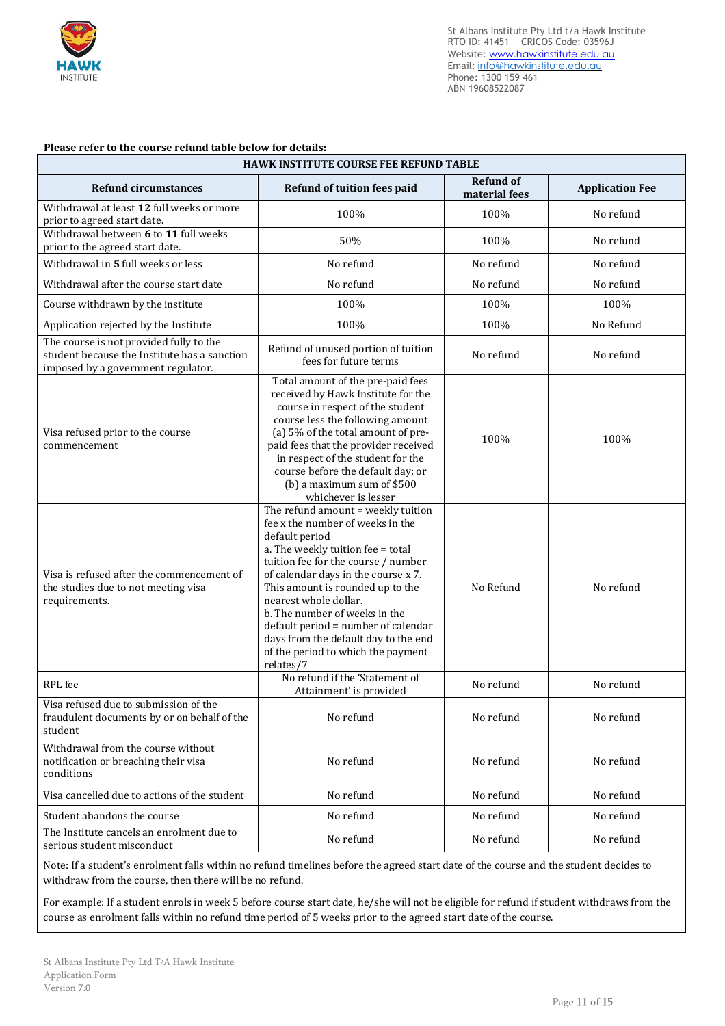

# **Please refer to the course refund table below for details:**

| <b>HAWK INSTITUTE COURSE FEE REFUND TABLE</b>                                                                                 |                                                                                                                                                                                                                                                                                                                                                                                                                                             |                                   |                        |  |  |  |
|-------------------------------------------------------------------------------------------------------------------------------|---------------------------------------------------------------------------------------------------------------------------------------------------------------------------------------------------------------------------------------------------------------------------------------------------------------------------------------------------------------------------------------------------------------------------------------------|-----------------------------------|------------------------|--|--|--|
| <b>Refund circumstances</b>                                                                                                   | Refund of tuition fees paid                                                                                                                                                                                                                                                                                                                                                                                                                 | <b>Refund of</b><br>material fees | <b>Application Fee</b> |  |  |  |
| Withdrawal at least 12 full weeks or more<br>prior to agreed start date.                                                      | 100%                                                                                                                                                                                                                                                                                                                                                                                                                                        | 100%                              | No refund              |  |  |  |
| Withdrawal between 6 to 11 full weeks<br>prior to the agreed start date.                                                      | 50%                                                                                                                                                                                                                                                                                                                                                                                                                                         | 100%                              | No refund              |  |  |  |
| Withdrawal in 5 full weeks or less                                                                                            | No refund                                                                                                                                                                                                                                                                                                                                                                                                                                   | No refund                         | No refund              |  |  |  |
| Withdrawal after the course start date                                                                                        | No refund                                                                                                                                                                                                                                                                                                                                                                                                                                   | No refund                         | No refund              |  |  |  |
| Course withdrawn by the institute                                                                                             | 100%                                                                                                                                                                                                                                                                                                                                                                                                                                        | 100%                              | 100%                   |  |  |  |
| Application rejected by the Institute                                                                                         | 100%                                                                                                                                                                                                                                                                                                                                                                                                                                        | 100%                              | No Refund              |  |  |  |
| The course is not provided fully to the<br>student because the Institute has a sanction<br>imposed by a government regulator. | Refund of unused portion of tuition<br>fees for future terms                                                                                                                                                                                                                                                                                                                                                                                | No refund                         | No refund              |  |  |  |
| Visa refused prior to the course<br>commencement                                                                              | Total amount of the pre-paid fees<br>received by Hawk Institute for the<br>course in respect of the student<br>course less the following amount<br>(a) 5% of the total amount of pre-<br>paid fees that the provider received<br>in respect of the student for the<br>course before the default day; or<br>(b) a maximum sum of \$500<br>whichever is lesser                                                                                | 100%                              | 100%                   |  |  |  |
| Visa is refused after the commencement of<br>the studies due to not meeting visa<br>requirements.                             | The refund amount = weekly tuition<br>fee x the number of weeks in the<br>default period<br>a. The weekly tuition fee = total<br>tuition fee for the course / number<br>of calendar days in the course x 7.<br>This amount is rounded up to the<br>nearest whole dollar.<br>b. The number of weeks in the<br>default period = number of calendar<br>days from the default day to the end<br>of the period to which the payment<br>relates/7 | No Refund                         | No refund              |  |  |  |
| RPL fee                                                                                                                       | No refund if the 'Statement of<br>Attainment' is provided                                                                                                                                                                                                                                                                                                                                                                                   | No refund                         | No refund              |  |  |  |
| Visa refused due to submission of the<br>fraudulent documents by or on behalf of the<br>student                               | No refund                                                                                                                                                                                                                                                                                                                                                                                                                                   | No refund                         | No refund              |  |  |  |
| Withdrawal from the course without<br>notification or breaching their visa<br>conditions                                      | No refund                                                                                                                                                                                                                                                                                                                                                                                                                                   | No refund                         | No refund              |  |  |  |
| Visa cancelled due to actions of the student                                                                                  | No refund                                                                                                                                                                                                                                                                                                                                                                                                                                   | No refund                         | No refund              |  |  |  |
| Student abandons the course                                                                                                   | No refund                                                                                                                                                                                                                                                                                                                                                                                                                                   | No refund                         | No refund              |  |  |  |
| The Institute cancels an enrolment due to<br>serious student misconduct                                                       | No refund                                                                                                                                                                                                                                                                                                                                                                                                                                   | No refund                         | No refund              |  |  |  |

Note: If a student's enrolment falls within no refund timelines before the agreed start date of the course and the student decides to withdraw from the course, then there will be no refund.

For example: If a student enrols in week 5 before course start date, he/she will not be eligible for refund if student withdraws from the course as enrolment falls within no refund time period of 5 weeks prior to the agreed start date of the course.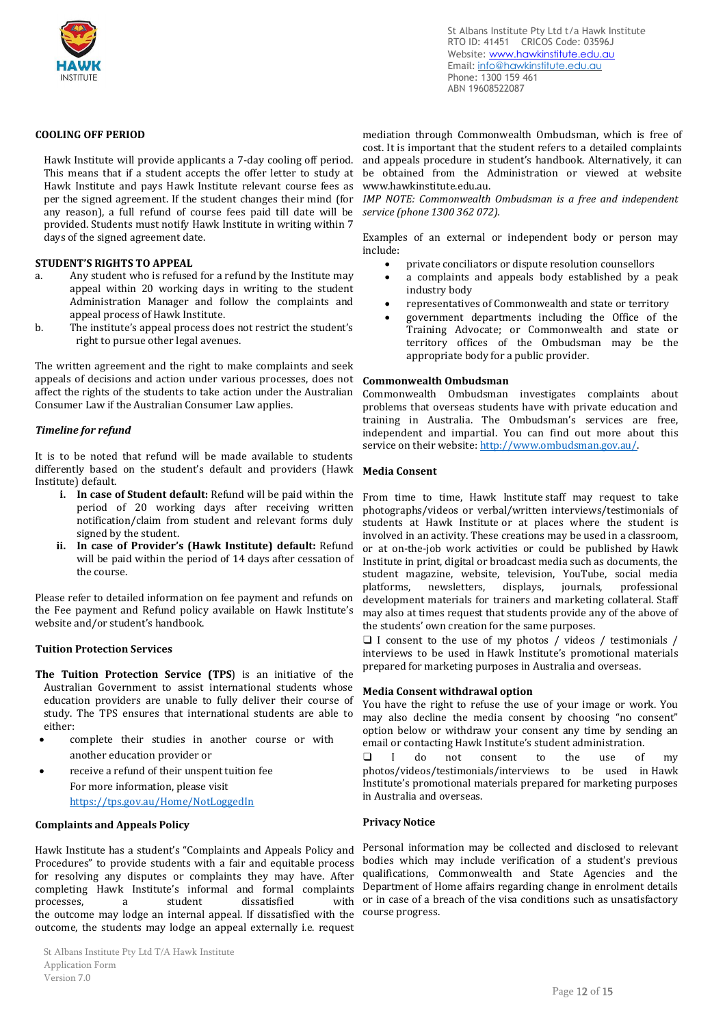

#### **COOLING OFF PERIOD**

Hawk Institute will provide applicants a 7-day cooling off period. This means that if a student accepts the offer letter to study at Hawk Institute and pays Hawk Institute relevant course fees as per the signed agreement. If the student changes their mind (for any reason), a full refund of course fees paid till date will be provided. Students must notify Hawk Institute in writing within 7 days of the signed agreement date.

#### **STUDENT'S RIGHTS TO APPEAL**

- a. Any student who is refused for a refund by the Institute may appeal within 20 working days in writing to the student Administration Manager and follow the complaints and appeal process of Hawk Institute.
- b. The institute's appeal process does not restrict the student's right to pursue other legal avenues.

The written agreement and the right to make complaints and seek appeals of decisions and action under various processes, does not affect the rights of the students to take action under the Australian Consumer Law if the Australian Consumer Law applies.

#### *Timeline for refund*

It is to be noted that refund will be made available to students differently based on the student's default and providers (Hawk **Media Consent** Institute) default.

- **i. In case of Student default:** Refund will be paid within the period of 20 working days after receiving written notification/claim from student and relevant forms duly signed by the student.
- **ii. In case of Provider's (Hawk Institute) default:** Refund will be paid within the period of 14 days after cessation of the course.

Please refer to detailed information on fee payment and refunds on the Fee payment and Refund policy available on Hawk Institute's website and/or student's handbook.

#### **Tuition Protection Services**

- **The Tuition Protection Service (TPS**) is an initiative of the Australian Government to assist international students whose education providers are unable to fully deliver their course of study. The TPS ensures that international students are able to either:
- complete their studies in another course or with another education provider or
- receive a refund of their unspent tuition fee For more information, please visit <https://tps.gov.au/Home/NotLoggedIn>

#### **Complaints and Appeals Policy**

Hawk Institute has a student's "Complaints and Appeals Policy and Procedures" to provide students with a fair and equitable process for resolving any disputes or complaints they may have. After completing Hawk Institute's informal and formal complaints processes, a student dissatisfied .<br>the outcome may lodge an internal appeal. If dissatisfied with the course progress. outcome, the students may lodge an appeal externally i.e. request

St Albans Institute Pty Ltd t/a Hawk Institute RTO ID: 41451 CRICOS Code: 03596J Website: www.hawkinstitute.edu.au Email: [info@hawkinstitute.edu.au](mailto:info@hawkinstitute.edu.au) Phone: 1300 159 461 ABN 19608522087

mediation through Commonwealth Ombudsman, which is free of cost. It is important that the student refers to a detailed complaints and appeals procedure in student's handbook. Alternatively, it can be obtained from the Administration or viewed at website [www.hawkinstitute.edu.au.](http://www.hawkinstitute.edu.au/)

*IMP NOTE: Commonwealth Ombudsman is a free and independent service (phone 1300 362 072).*

Examples of an external or independent body or person may include:

- private conciliators or dispute resolution counsellors
- a complaints and appeals body established by a peak industry body
- representatives of Commonwealth and state or territory
- government departments including the Office of the Training Advocate; or Commonwealth and state or territory offices of the Ombudsman may be the appropriate body for a public provider.

#### **Commonwealth Ombudsman**

Commonwealth Ombudsman investigates complaints about problems that overseas students have with private education and training in Australia. The Ombudsman's services are free, independent and impartial. You can find out more about this service on their website: [http://www.ombudsman.gov.au/.](http://www.ombudsman.gov.au/)

From time to time, Hawk Institute staff may request to take photographs/videos or verbal/written interviews/testimonials of students at Hawk Institute or at places where the student is involved in an activity. These creations may be used in a classroom, or at on-the-job work activities or could be published by Hawk Institute in print, digital or broadcast media such as documents, the student magazine, website, television, YouTube, social media platforms, newsletters, displays, journals, professional development materials for trainers and marketing collateral. Staff may also at times request that students provide any of the above of the students' own creation for the same purposes.

❑ I consent to the use of my photos / videos / testimonials / interviews to be used in Hawk Institute's promotional materials prepared for marketing purposes in Australia and overseas.

## **Media Consent withdrawal option**

You have the right to refuse the use of your image or work. You may also decline the media consent by choosing "no consent" option below or withdraw your consent any time by sending an email or contacting Hawk Institute's student administration.

I do not consent to the use of my photos/videos/testimonials/interviews to be used in Hawk Institute's promotional materials prepared for marketing purposes in Australia and overseas.

#### **Privacy Notice**

Personal information may be collected and disclosed to relevant bodies which may include verification of a student's previous qualifications, Commonwealth and State Agencies and the Department of Home affairs regarding change in enrolment details with or in case of a breach of the visa conditions such as unsatisfactory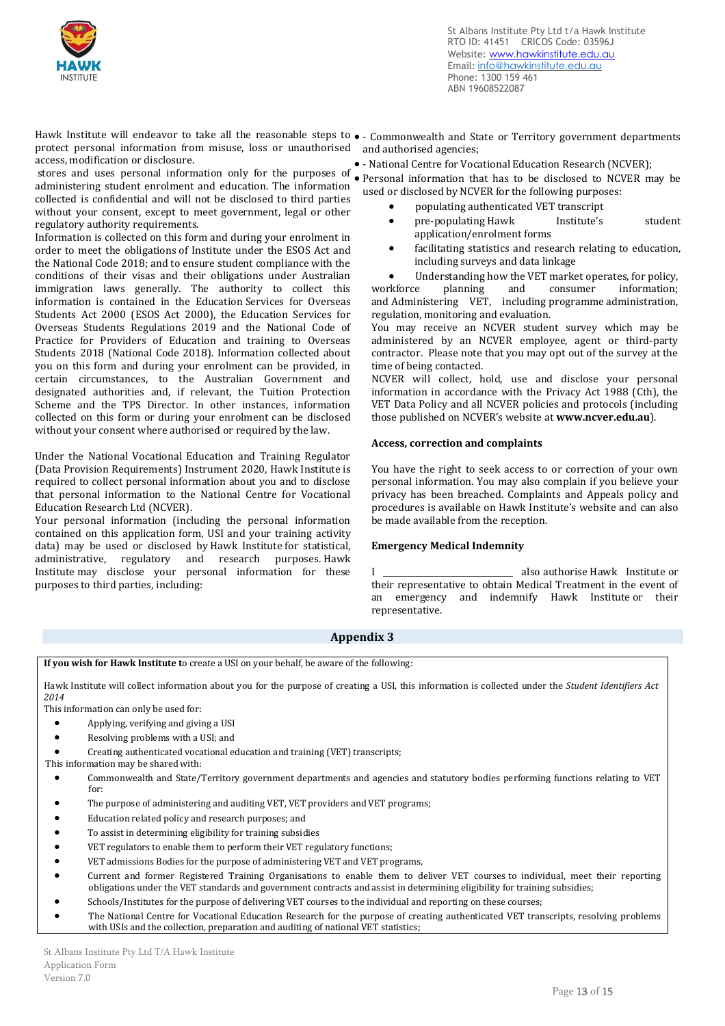

Hawk Institute will endeavor to take all the reasonable steps to • - Commonwealth and State or Territory government departments protect personal information from misuse, loss or unauthorised and authorised agencies; access, modification or disclosure.

stores and uses personal information only for the purposes of • Personal information that has to be disclosed to NCVER may be administering student enrolment and education. The information collected is confidential and will not be disclosed to third parties without your consent, except to meet government, legal or other regulatory authority requirements.

Information is collected on this form and during your enrolment in order to meet the obligations of Institute under the ESOS Act and the National Code 2018; and to ensure student compliance with the conditions of their visas and their obligations under Australian immigration laws generally. The authority to collect this information is contained in the Education Services for Overseas Students Act 2000 (ESOS Act 2000), the Education Services for Overseas Students Regulations 2019 and the National Code of Practice for Providers of Education and training to Overseas Students 2018 (National Code 2018). Information collected about you on this form and during your enrolment can be provided, in certain circumstances, to the Australian Government and designated authorities and, if relevant, the Tuition Protection Scheme and the TPS Director. In other instances, information collected on this form or during your enrolment can be disclosed without your consent where authorised or required by the law.

Under the National Vocational Education and Training Regulator (Data Provision Requirements) Instrument 2020, Hawk Institute is required to collect personal information about you and to disclose that personal information to the National Centre for Vocational Education Research Ltd (NCVER).

Your personal information (including the personal information contained on this application form, USI and your training activity data) may be used or disclosed by Hawk Institute for statistical, administrative, regulatory and research purposes. Hawk Institute may disclose your personal information for these purposes to third parties, including:

- 
- - National Centre for Vocational Education Research (NCVER);
- used or disclosed by NCVER for the following purposes:
	- populating authenticated VET transcript
	- pre-populating Hawk Institute's student application/enrolment forms
	- facilitating statistics and research relating to education, including surveys and data linkage

• Understanding how the VET market operates, for policy, workforce planning and consumer information; planning and consumer information; and Administering VET, including programme administration, regulation, monitoring and evaluation.

You may receive an NCVER student survey which may be administered by an NCVER employee, agent or third-party contractor. Please note that you may opt out of the survey at the time of being contacted.

NCVER will collect, hold, use and disclose your personal information in accordance with the Privacy Act 1988 (Cth), the VET Data Policy and all NCVER policies and protocols (including those published on NCVER's website at **www.ncver.edu.au**).

# **Access, correction and complaints**

You have the right to seek access to or correction of your own personal information. You may also complain if you believe your privacy has been breached. Complaints and Appeals policy and procedures is available on Hawk Institute's website and can also be made available from the reception.

# **Emergency Medical Indemnity**

I \_\_\_\_\_\_\_\_\_\_\_\_\_\_\_\_\_\_\_\_\_\_\_\_\_\_\_\_\_\_\_\_ also authorise Hawk Institute or their representative to obtain Medical Treatment in the event of an emergency and indemnify Hawk Institute or their representative.

# **Appendix 3**

**If you wish for Hawk Institute t**o create a USI on your behalf, be aware of the following:

Hawk Institute will collect information about you for the purpose of creating a USI, this information is collected under the *Student Identifiers Act 2014*

This information can only be used for:

- Applying, verifying and giving a USI
- Resolving problems with a USI; and

• Creating authenticated vocational education and training (VET) transcripts;

- This information may be shared with:
	- Commonwealth and State/Territory government departments and agencies and statutory bodies performing functions relating to VET for:
	- The purpose of administering and auditing VET, VET providers and VET programs;
	- Education related policy and research purposes; and
	- To assist in determining eligibility for training subsidies
	- VET regulators to enable them to perform their VET regulatory functions;
	- VET admissions Bodies for the purpose of administering VET and VET programs,
	- Current and former Registered Training Organisations to enable them to deliver VET courses to individual, meet their reporting obligations under the VET standards and government contracts and assist in determining eligibility for training subsidies;
	- Schools/Institutes for the purpose of delivering VET courses to the individual and reporting on these courses;
	- The National Centre for Vocational Education Research for the purpose of creating authenticated VET transcripts, resolving problems with USIs and the collection, preparation and auditing of national VET statistics;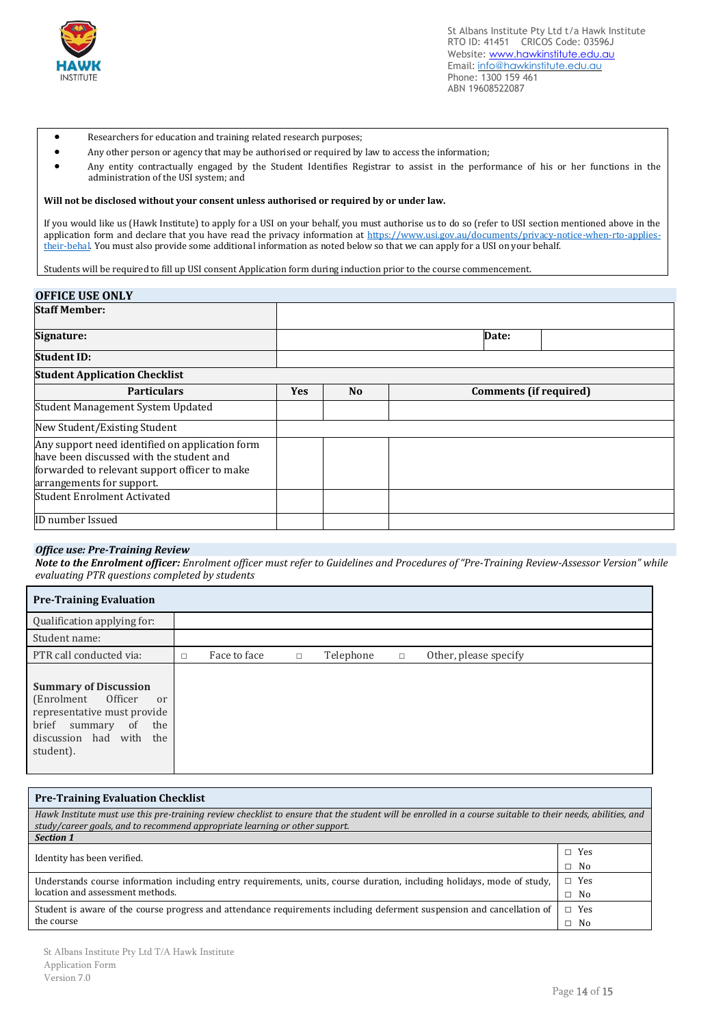

- Researchers for education and training related research purposes;
- Any other person or agency that may be authorised or required by law to access the information;
- Any entity contractually engaged by the Student Identifies Registrar to assist in the performance of his or her functions in the administration of the USI system; and

#### **Will not be disclosed without your consent unless authorised or required by or under law.**

If you would like us (Hawk Institute) to apply for a USI on your behalf, you must authorise us to do so (refer to USI section mentioned above in the application form and declare that you have read the privacy information at [https://www.usi.gov.au/documents/privacy-notice-when-rto-applies](https://www.usi.gov.au/documents/privacy-notice-when-rto-applies-their-behal)[their-behal.](https://www.usi.gov.au/documents/privacy-notice-when-rto-applies-their-behal) You must also provide some additional information as noted below so that we can apply for a USI on your behalf.

Students will be required to fill up USI consent Application form during induction prior to the course commencement.

# **OFFICE USE ONLY**

| <b>Staff Member:</b>                                                                                                                                                      |            |                |                               |  |
|---------------------------------------------------------------------------------------------------------------------------------------------------------------------------|------------|----------------|-------------------------------|--|
| Signature:                                                                                                                                                                | Date:      |                |                               |  |
| <b>Student ID:</b>                                                                                                                                                        |            |                |                               |  |
| <b>Student Application Checklist</b>                                                                                                                                      |            |                |                               |  |
| <b>Particulars</b>                                                                                                                                                        | <b>Yes</b> | N <sub>o</sub> | <b>Comments</b> (if required) |  |
| Student Management System Updated                                                                                                                                         |            |                |                               |  |
| New Student/Existing Student                                                                                                                                              |            |                |                               |  |
| Any support need identified on application form<br>have been discussed with the student and<br>forwarded to relevant support officer to make<br>arrangements for support. |            |                |                               |  |
| Student Enrolment Activated                                                                                                                                               |            |                |                               |  |
| ID number Issued                                                                                                                                                          |            |                |                               |  |

#### *Office use: Pre-Training Review*

*Note to the Enrolment officer: Enrolment officer must refer to Guidelines and Procedures of "Pre-Training Review-Assessor Version" while evaluating PTR questions completed by students*

| <b>Pre-Training Evaluation</b>                                                                                                                                   |        |              |        |           |        |                       |  |
|------------------------------------------------------------------------------------------------------------------------------------------------------------------|--------|--------------|--------|-----------|--------|-----------------------|--|
| Qualification applying for:                                                                                                                                      |        |              |        |           |        |                       |  |
| Student name:                                                                                                                                                    |        |              |        |           |        |                       |  |
| PTR call conducted via:                                                                                                                                          | $\Box$ | Face to face | $\Box$ | Telephone | $\Box$ | Other, please specify |  |
| <b>Summary of Discussion</b><br>(Enrolment Officer<br>or<br>representative must provide<br>brief<br>the<br>of<br>summary<br>discussion had with the<br>student). |        |              |        |           |        |                       |  |

| <b>Pre-Training Evaluation Checklist</b>                                                                                                                                                                                                  |              |  |  |  |
|-------------------------------------------------------------------------------------------------------------------------------------------------------------------------------------------------------------------------------------------|--------------|--|--|--|
| Hawk Institute must use this pre-training review checklist to ensure that the student will be enrolled in a course suitable to their needs, abilities, and<br>study/career goals, and to recommend appropriate learning or other support. |              |  |  |  |
| <b>Section 1</b>                                                                                                                                                                                                                          |              |  |  |  |
| Identity has been verified.                                                                                                                                                                                                               |              |  |  |  |
|                                                                                                                                                                                                                                           | $\Box$ No    |  |  |  |
| Understands course information including entry requirements, units, course duration, including holidays, mode of study,                                                                                                                   |              |  |  |  |
| location and assessment methods.                                                                                                                                                                                                          | $\square$ No |  |  |  |
| Student is aware of the course progress and attendance requirements including deferment suspension and cancellation of                                                                                                                    | $\Box$ Yes   |  |  |  |
| the course                                                                                                                                                                                                                                | $\Box$ No    |  |  |  |